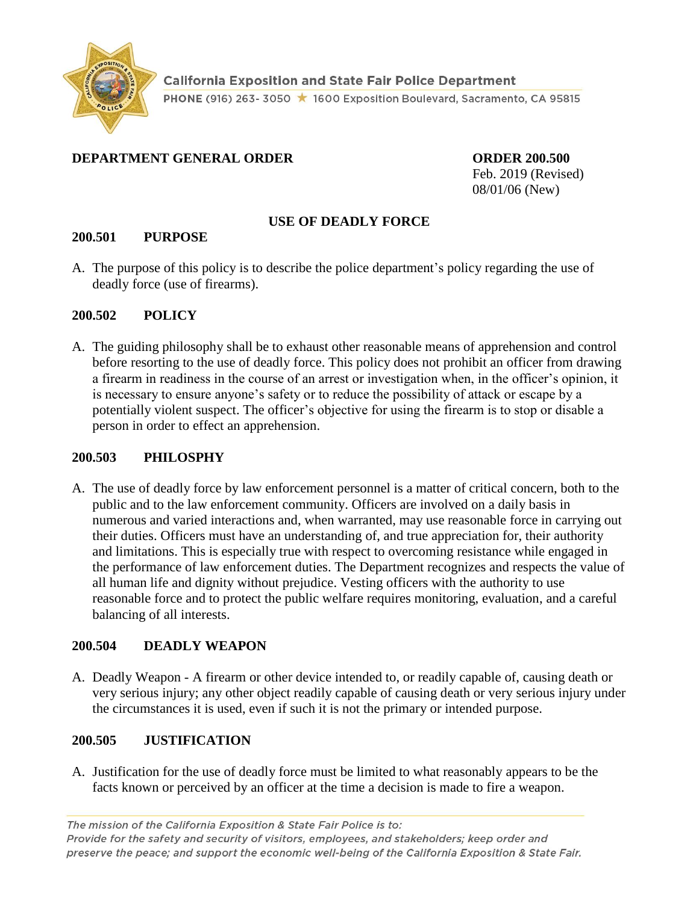

## **DEPARTMENT GENERAL ORDER ORDER 200.500**

Feb. 2019 (Revised) 08/01/06 (New)

## **USE OF DEADLY FORCE**

## **200.501 PURPOSE**

A. The purpose of this policy is to describe the police department's policy regarding the use of deadly force (use of firearms).

## **200.502 POLICY**

A. The guiding philosophy shall be to exhaust other reasonable means of apprehension and control before resorting to the use of deadly force. This policy does not prohibit an officer from drawing a firearm in readiness in the course of an arrest or investigation when, in the officer's opinion, it is necessary to ensure anyone's safety or to reduce the possibility of attack or escape by a potentially violent suspect. The officer's objective for using the firearm is to stop or disable a person in order to effect an apprehension.

## **200.503 PHILOSPHY**

A. The use of deadly force by law enforcement personnel is a matter of critical concern, both to the public and to the law enforcement community. Officers are involved on a daily basis in numerous and varied interactions and, when warranted, may use reasonable force in carrying out their duties. Officers must have an understanding of, and true appreciation for, their authority and limitations. This is especially true with respect to overcoming resistance while engaged in the performance of law enforcement duties. The Department recognizes and respects the value of all human life and dignity without prejudice. Vesting officers with the authority to use reasonable force and to protect the public welfare requires monitoring, evaluation, and a careful balancing of all interests.

# **200.504 DEADLY WEAPON**

A. Deadly Weapon - A firearm or other device intended to, or readily capable of, causing death or very serious injury; any other object readily capable of causing death or very serious injury under the circumstances it is used, even if such it is not the primary or intended purpose.

# **200.505 JUSTIFICATION**

A. Justification for the use of deadly force must be limited to what reasonably appears to be the facts known or perceived by an officer at the time a decision is made to fire a weapon.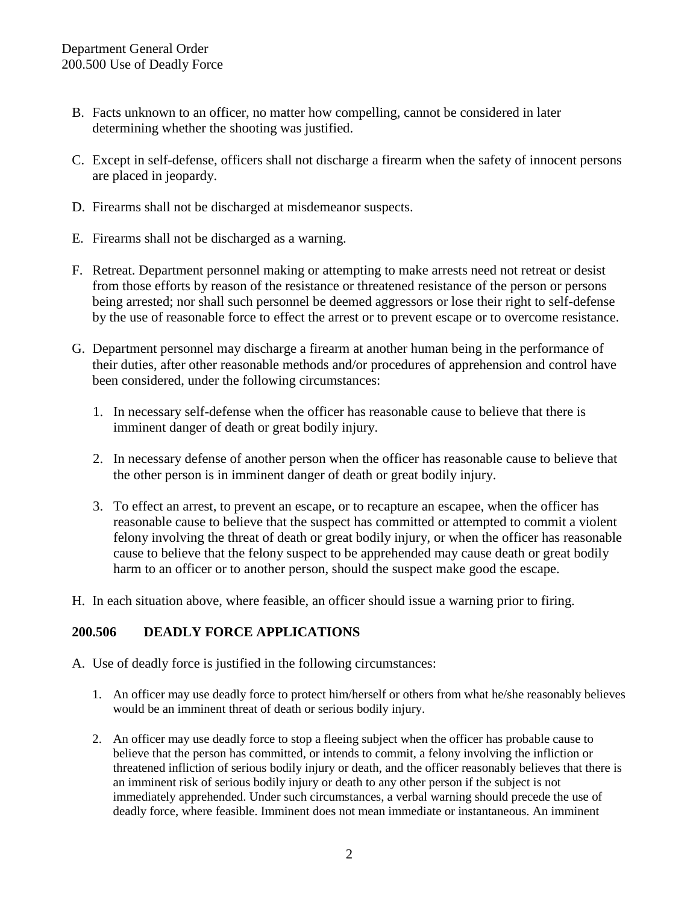- B. Facts unknown to an officer, no matter how compelling, cannot be considered in later determining whether the shooting was justified.
- C. Except in self-defense, officers shall not discharge a firearm when the safety of innocent persons are placed in jeopardy.
- D. Firearms shall not be discharged at misdemeanor suspects.
- E. Firearms shall not be discharged as a warning.
- F. Retreat. Department personnel making or attempting to make arrests need not retreat or desist from those efforts by reason of the resistance or threatened resistance of the person or persons being arrested; nor shall such personnel be deemed aggressors or lose their right to self-defense by the use of reasonable force to effect the arrest or to prevent escape or to overcome resistance.
- G. Department personnel may discharge a firearm at another human being in the performance of their duties, after other reasonable methods and/or procedures of apprehension and control have been considered, under the following circumstances:
	- 1. In necessary self-defense when the officer has reasonable cause to believe that there is imminent danger of death or great bodily injury.
	- 2. In necessary defense of another person when the officer has reasonable cause to believe that the other person is in imminent danger of death or great bodily injury.
	- 3. To effect an arrest, to prevent an escape, or to recapture an escapee, when the officer has reasonable cause to believe that the suspect has committed or attempted to commit a violent felony involving the threat of death or great bodily injury, or when the officer has reasonable cause to believe that the felony suspect to be apprehended may cause death or great bodily harm to an officer or to another person, should the suspect make good the escape.
- H. In each situation above, where feasible, an officer should issue a warning prior to firing.

#### **200.506 DEADLY FORCE APPLICATIONS**

- A. Use of deadly force is justified in the following circumstances:
	- 1. An officer may use deadly force to protect him/herself or others from what he/she reasonably believes would be an imminent threat of death or serious bodily injury.
	- 2. An officer may use deadly force to stop a fleeing subject when the officer has probable cause to believe that the person has committed, or intends to commit, a felony involving the infliction or threatened infliction of serious bodily injury or death, and the officer reasonably believes that there is an imminent risk of serious bodily injury or death to any other person if the subject is not immediately apprehended. Under such circumstances, a verbal warning should precede the use of deadly force, where feasible. Imminent does not mean immediate or instantaneous. An imminent